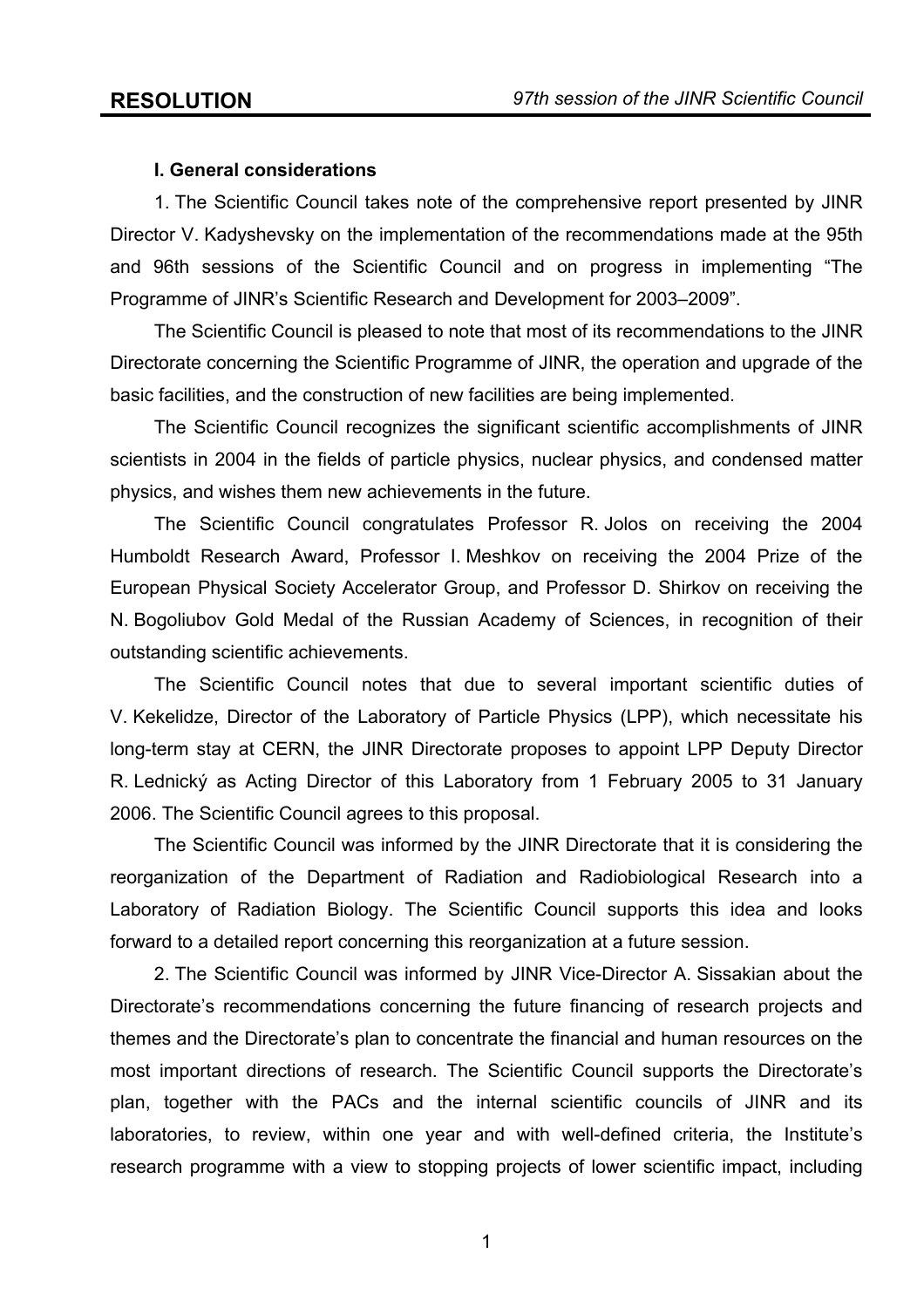## **I. General considerations**

 1. The Scientific Council takes note of the comprehensive report presented by JINR Director V. Kadyshevsky on the implementation of the recommendations made at the 95th and 96th sessions of the Scientific Council and on progress in implementing "The Programme of JINR's Scientific Research and Development for 2003–2009".

 The Scientific Council is pleased to note that most of its recommendations to the JINR Directorate concerning the Scientific Programme of JINR, the operation and upgrade of the basic facilities, and the construction of new facilities are being implemented.

 The Scientific Council recognizes the significant scientific accomplishments of JINR scientists in 2004 in the fields of particle physics, nuclear physics, and condensed matter physics, and wishes them new achievements in the future.

 The Scientific Council congratulates Professor R. Jolos on receiving the 2004 Humboldt Research Award, Professor I. Meshkov on receiving the 2004 Prize of the European Physical Society Accelerator Group, and Professor D. Shirkov on receiving the N. Bogoliubov Gold Medal of the Russian Academy of Sciences, in recognition of their outstanding scientific achievements.

 The Scientific Council notes that due to several important scientific duties of V. Kekelidze, Director of the Laboratory of Particle Physics (LPP), which necessitate his long-term stay at CERN, the JINR Directorate proposes to appoint LPP Deputy Director R. Lednický as Acting Director of this Laboratory from 1 February 2005 to 31 January 2006. The Scientific Council agrees to this proposal.

 The Scientific Council was informed by the JINR Directorate that it is considering the reorganization of the Department of Radiation and Radiobiological Research into a Laboratory of Radiation Biology. The Scientific Council supports this idea and looks forward to a detailed report concerning this reorganization at a future session.

 2. The Scientific Council was informed by JINR Vice-Director A. Sissakian about the Directorate's recommendations concerning the future financing of research projects and themes and the Directorate's plan to concentrate the financial and human resources on the most important directions of research. The Scientific Council supports the Directorate's plan, together with the PACs and the internal scientific councils of JINR and its laboratories, to review, within one year and with well-defined criteria, the Institute's research programme with a view to stopping projects of lower scientific impact, including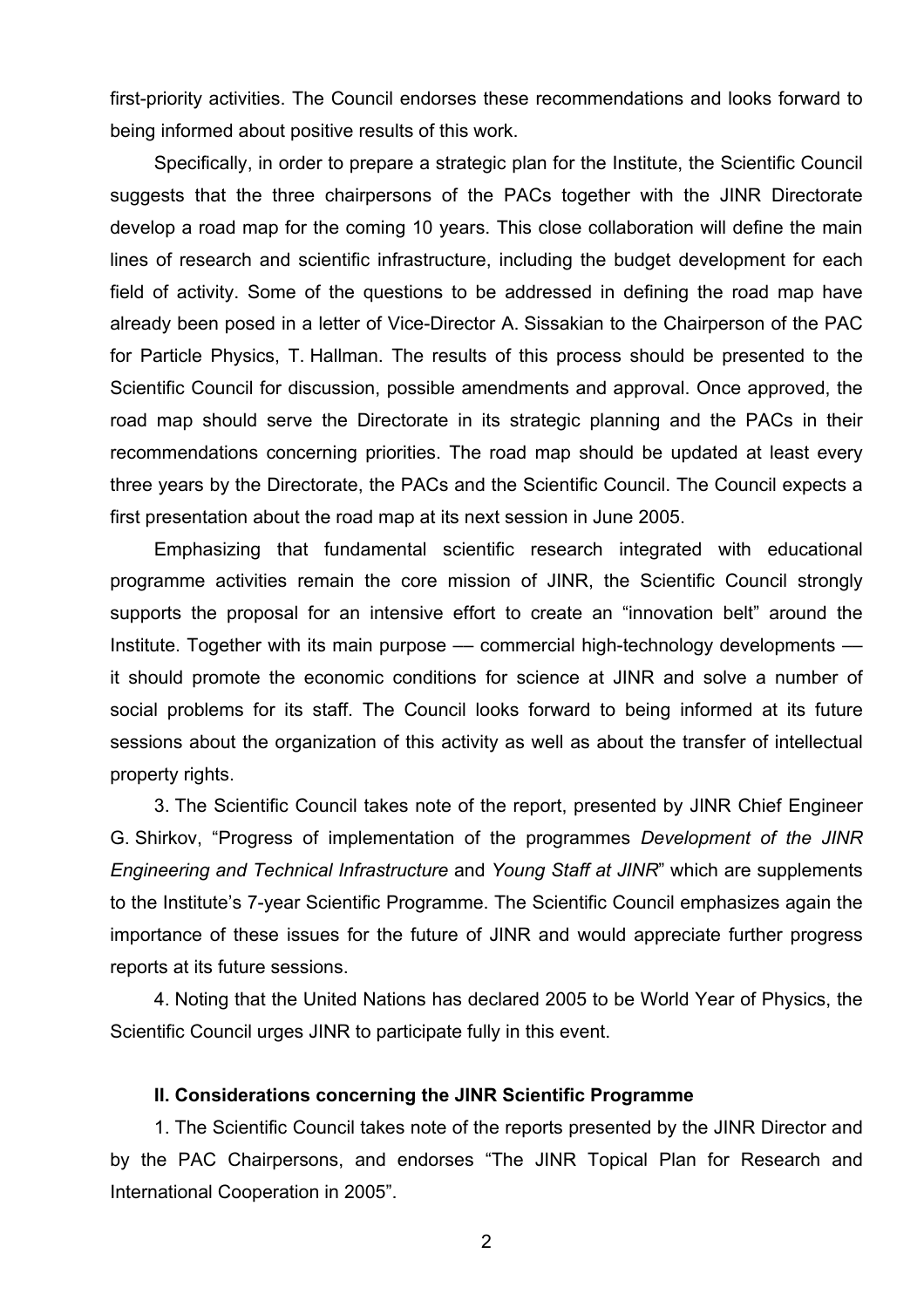first-priority activities. The Council endorses these recommendations and looks forward to being informed about positive results of this work.

 Specifically, in order to prepare a strategic plan for the Institute, the Scientific Council suggests that the three chairpersons of the PACs together with the JINR Directorate develop a road map for the coming 10 years. This close collaboration will define the main lines of research and scientific infrastructure, including the budget development for each field of activity. Some of the questions to be addressed in defining the road map have already been posed in a letter of Vice-Director A. Sissakian to the Chairperson of the PAC for Particle Physics, T. Hallman. The results of this process should be presented to the Scientific Council for discussion, possible amendments and approval. Once approved, the road map should serve the Directorate in its strategic planning and the PACs in their recommendations concerning priorities. The road map should be updated at least every three years by the Directorate, the PACs and the Scientific Council. The Council expects a first presentation about the road map at its next session in June 2005.

 Emphasizing that fundamental scientific research integrated with educational programme activities remain the core mission of JINR, the Scientific Council strongly supports the proposal for an intensive effort to create an "innovation belt" around the Institute. Together with its main purpose — commercial high-technology developments it should promote the economic conditions for science at JINR and solve a number of social problems for its staff. The Council looks forward to being informed at its future sessions about the organization of this activity as well as about the transfer of intellectual property rights.

 3. The Scientific Council takes note of the report, presented by JINR Chief Engineer G. Shirkov, "Progress of implementation of the programmes *Development of the JINR Engineering and Technical Infrastructure* and *Young Staff at JINR*" which are supplements to the Institute's 7-year Scientific Programme. The Scientific Council emphasizes again the importance of these issues for the future of JINR and would appreciate further progress reports at its future sessions.

 4. Noting that the United Nations has declared 2005 to be World Year of Physics, the Scientific Council urges JINR to participate fully in this event.

#### **II. Considerations concerning the JINR Scientific Programme**

 1. The Scientific Council takes note of the reports presented by the JINR Director and by the PAC Chairpersons, and endorses "The JINR Topical Plan for Research and International Cooperation in 2005".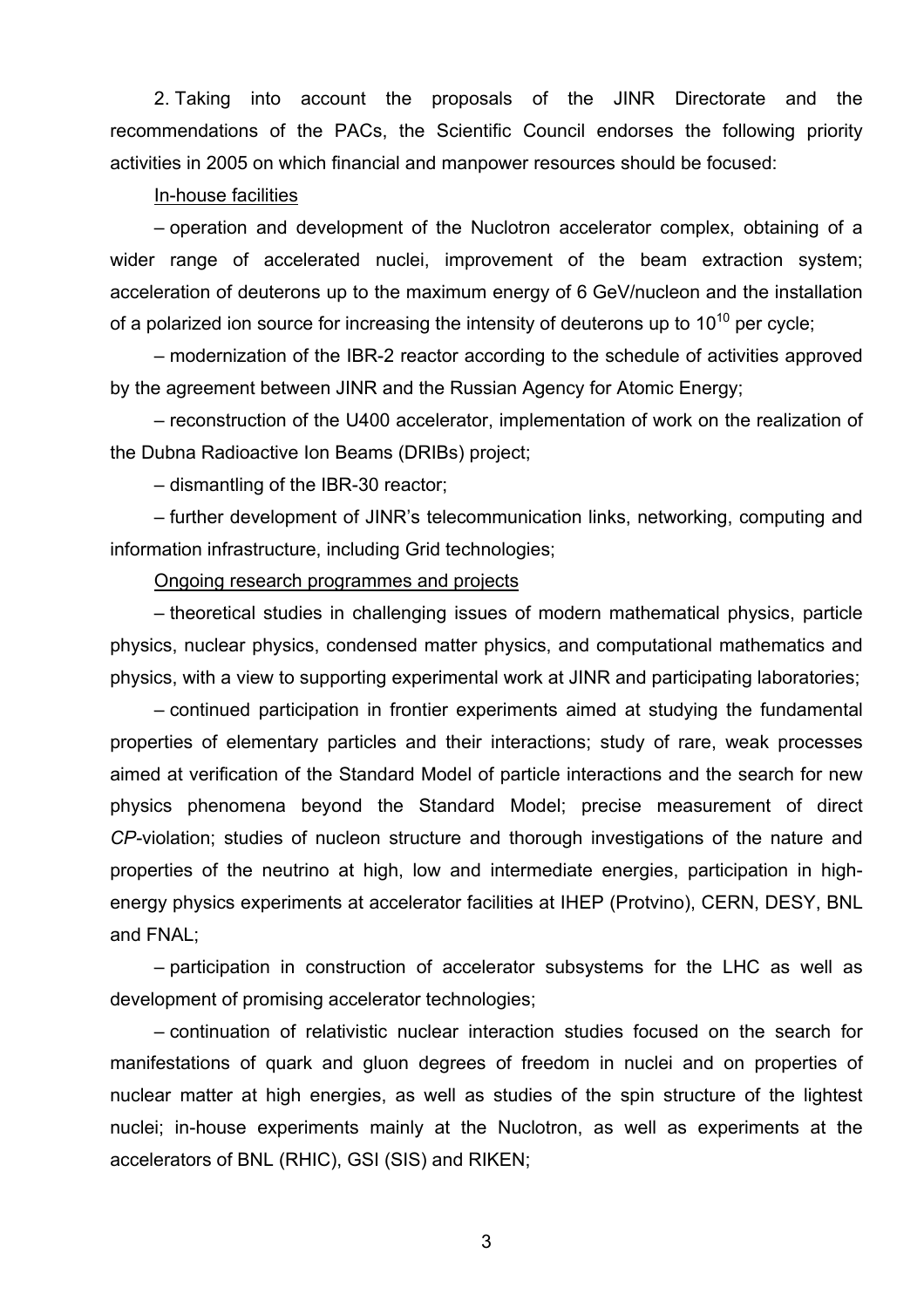2. Taking into account the proposals of the JINR Directorate and the recommendations of the PACs, the Scientific Council endorses the following priority activities in 2005 on which financial and manpower resources should be focused:

## In-house facilities

– operation and development of the Nuclotron accelerator complex, obtaining of a wider range of accelerated nuclei, improvement of the beam extraction system; acceleration of deuterons up to the maximum energy of 6 GeV/nucleon and the installation of a polarized ion source for increasing the intensity of deuterons up to  $10^{10}$  per cycle;

– modernization of the IBR-2 reactor according to the schedule of activities approved by the agreement between JINR and the Russian Agency for Atomic Energy;

– reconstruction of the U400 accelerator, implementation of work on the realization of the Dubna Radioactive Ion Beams (DRIBs) project;

– dismantling of the IBR-30 reactor;

– further development of JINR's telecommunication links, networking, computing and information infrastructure, including Grid technologies;

Ongoing research programmes and projects

– theoretical studies in challenging issues of modern mathematical physics, particle physics, nuclear physics, condensed matter physics, and computational mathematics and physics, with a view to supporting experimental work at JINR and participating laboratories;

– continued participation in frontier experiments aimed at studying the fundamental properties of elementary particles and their interactions; study of rare, weak processes aimed at verification of the Standard Model of particle interactions and the search for new physics phenomena beyond the Standard Model; precise measurement of direct *CP-*violation; studies of nucleon structure and thorough investigations of the nature and properties of the neutrino at high, low and intermediate energies, participation in highenergy physics experiments at accelerator facilities at IHEP (Protvino), CERN, DESY, BNL and FNAL;

– participation in construction of accelerator subsystems for the LHC as well as development of promising accelerator technologies;

– continuation of relativistic nuclear interaction studies focused on the search for manifestations of quark and gluon degrees of freedom in nuclei and on properties of nuclear matter at high energies, as well as studies of the spin structure of the lightest nuclei; in-house experiments mainly at the Nuclotron, as well as experiments at the accelerators of BNL (RHIC), GSI (SIS) and RIKEN;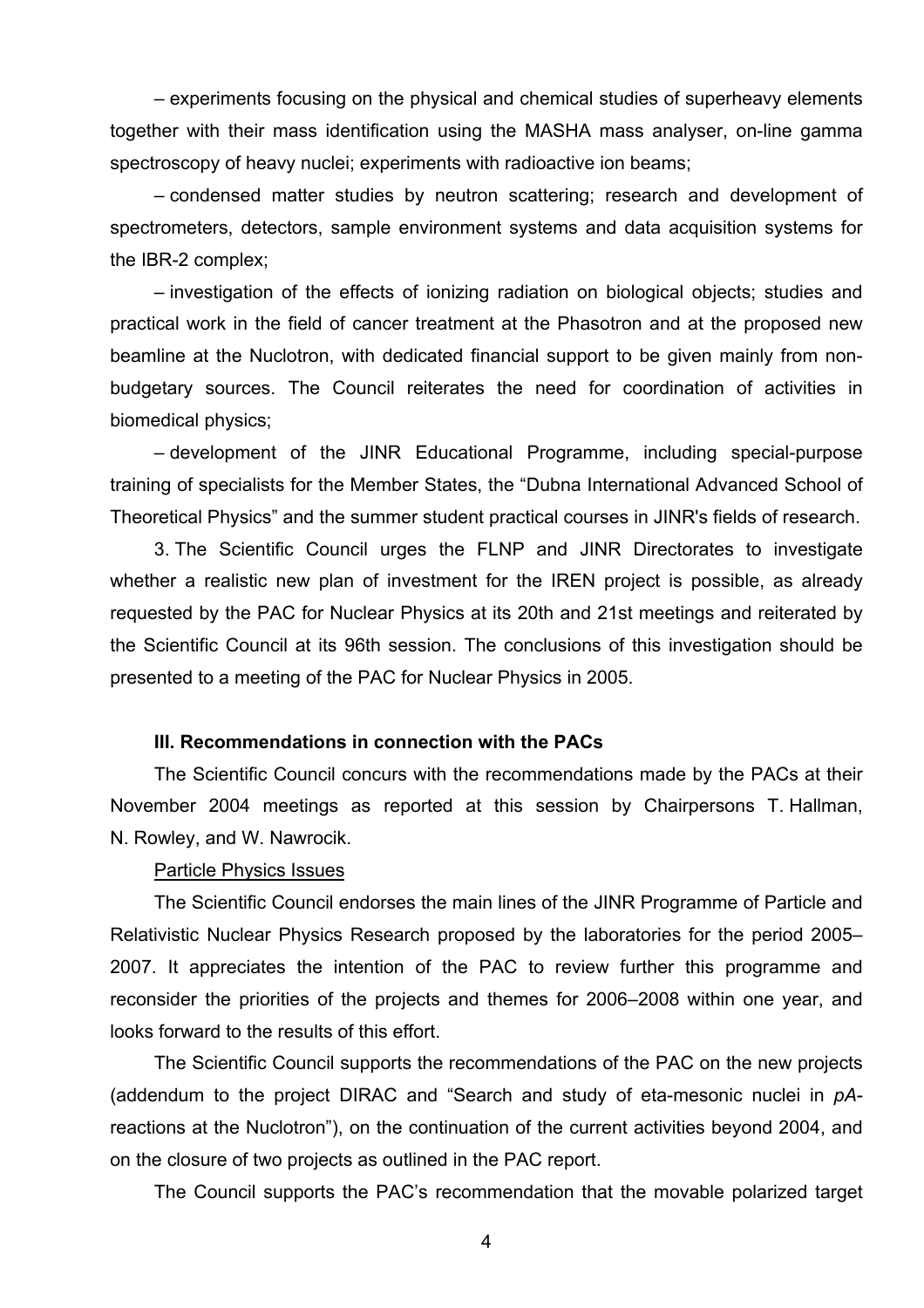– experiments focusing on the physical and chemical studies of superheavy elements together with their mass identification using the MASHA mass analyser, on-line gamma spectroscopy of heavy nuclei; experiments with radioactive ion beams;

– condensed matter studies by neutron scattering; research and development of spectrometers, detectors, sample environment systems and data acquisition systems for the IBR-2 complex;

– investigation of the effects of ionizing radiation on biological objects; studies and practical work in the field of cancer treatment at the Phasotron and at the proposed new beamline at the Nuclotron, with dedicated financial support to be given mainly from nonbudgetary sources. The Council reiterates the need for coordination of activities in biomedical physics;

– development of the JINR Educational Programme, including special-purpose training of specialists for the Member States, the "Dubna International Advanced School of Theoretical Physics" and the summer student practical courses in JINR's fields of research.

3. The Scientific Council urges the FLNP and JINR Directorates to investigate whether a realistic new plan of investment for the IREN project is possible, as already requested by the PAC for Nuclear Physics at its 20th and 21st meetings and reiterated by the Scientific Council at its 96th session. The conclusions of this investigation should be presented to a meeting of the PAC for Nuclear Physics in 2005.

## **III. Recommendations in connection with the PACs**

The Scientific Council concurs with the recommendations made by the PACs at their November 2004 meetings as reported at this session by Chairpersons T. Hallman, N. Rowley, and W. Nawrocik.

#### Particle Physics Issues

The Scientific Council endorses the main lines of the JINR Programme of Particle and Relativistic Nuclear Physics Research proposed by the laboratories for the period 2005– 2007. It appreciates the intention of the PAC to review further this programme and reconsider the priorities of the projects and themes for 2006–2008 within one year, and looks forward to the results of this effort.

 The Scientific Council supports the recommendations of the PAC on the new projects (addendum to the project DIRAC and "Search and study of eta-mesonic nuclei in *pA*reactions at the Nuclotron"), on the continuation of the current activities beyond 2004, and on the closure of two projects as outlined in the PAC report.

The Council supports the PAC's recommendation that the movable polarized target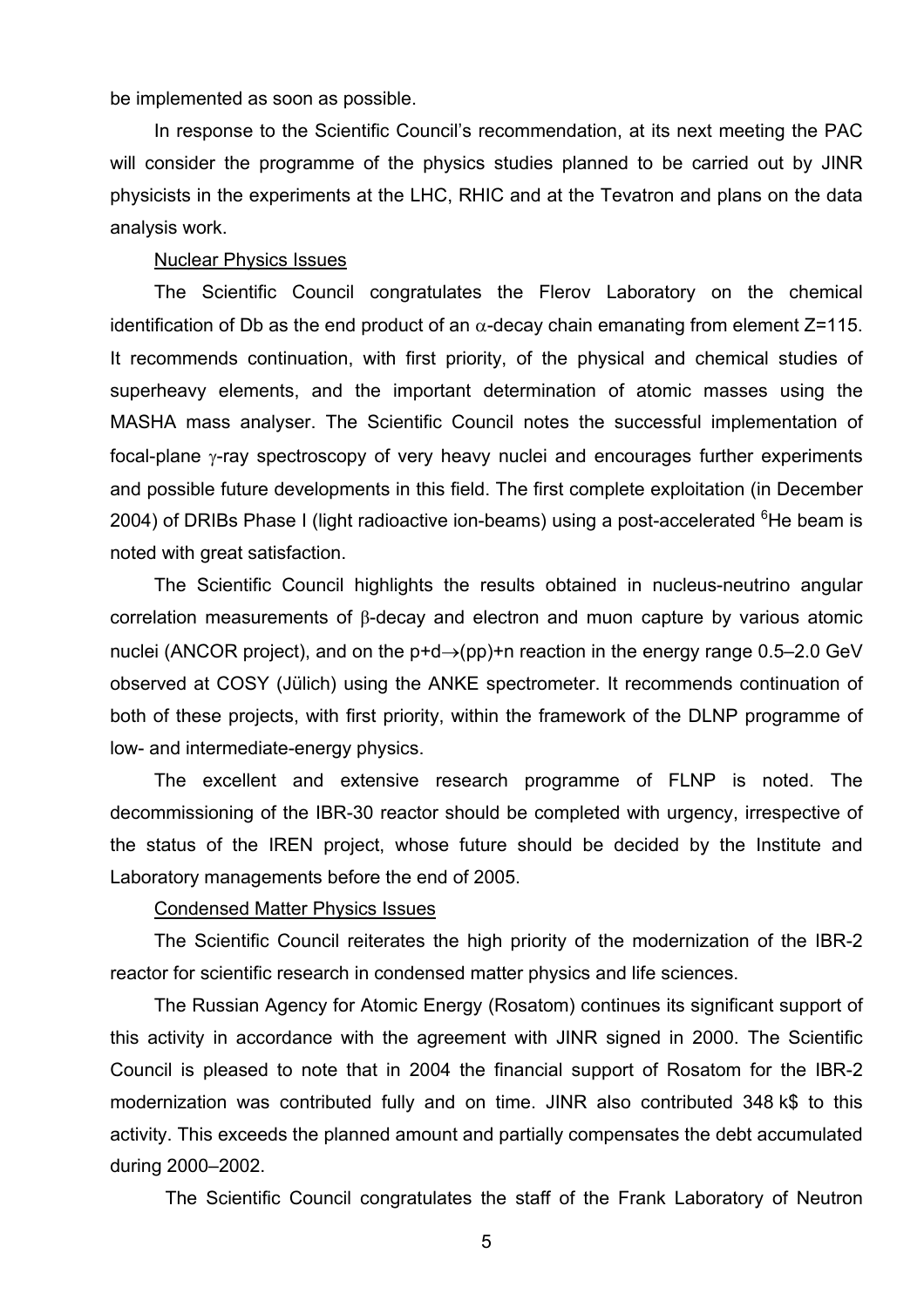be implemented as soon as possible.

 In response to the Scientific Council's recommendation, at its next meeting the PAC will consider the programme of the physics studies planned to be carried out by JINR physicists in the experiments at the LHC, RHIC and at the Tevatron and plans on the data analysis work.

#### Nuclear Physics Issues

The Scientific Council congratulates the Flerov Laboratory on the chemical identification of Db as the end product of an  $\alpha$ -decay chain emanating from element Z=115. It recommends continuation, with first priority, of the physical and chemical studies of superheavy elements, and the important determination of atomic masses using the MASHA mass analyser. The Scientific Council notes the successful implementation of focal-plane γ-ray spectroscopy of very heavy nuclei and encourages further experiments and possible future developments in this field. The first complete exploitation (in December 2004) of DRIBs Phase I (light radioactive ion-beams) using a post-accelerated <sup>6</sup>He beam is noted with great satisfaction.

The Scientific Council highlights the results obtained in nucleus-neutrino angular correlation measurements of β-decay and electron and muon capture by various atomic nuclei (ANCOR project), and on the  $p+d\rightarrow(pp)+n$  reaction in the energy range 0.5–2.0 GeV observed at COSY (Jülich) using the ANKE spectrometer. It recommends continuation of both of these projects, with first priority, within the framework of the DLNP programme of low- and intermediate-energy physics.

The excellent and extensive research programme of FLNP is noted. The decommissioning of the IBR-30 reactor should be completed with urgency, irrespective of the status of the IREN project, whose future should be decided by the Institute and Laboratory managements before the end of 2005.

## Condensed Matter Physics Issues

The Scientific Council reiterates the high priority of the modernization of the IBR-2 reactor for scientific research in condensed matter physics and life sciences.

The Russian Agency for Atomic Energy (Rosatom) continues its significant support of this activity in accordance with the agreement with JINR signed in 2000. The Scientific Council is pleased to note that in 2004 the financial support of Rosatom for the IBR-2 modernization was contributed fully and on time. JINR also contributed 348 k\$ to this activity. This exceeds the planned amount and partially compensates the debt accumulated during 2000–2002.

The Scientific Council congratulates the staff of the Frank Laboratory of Neutron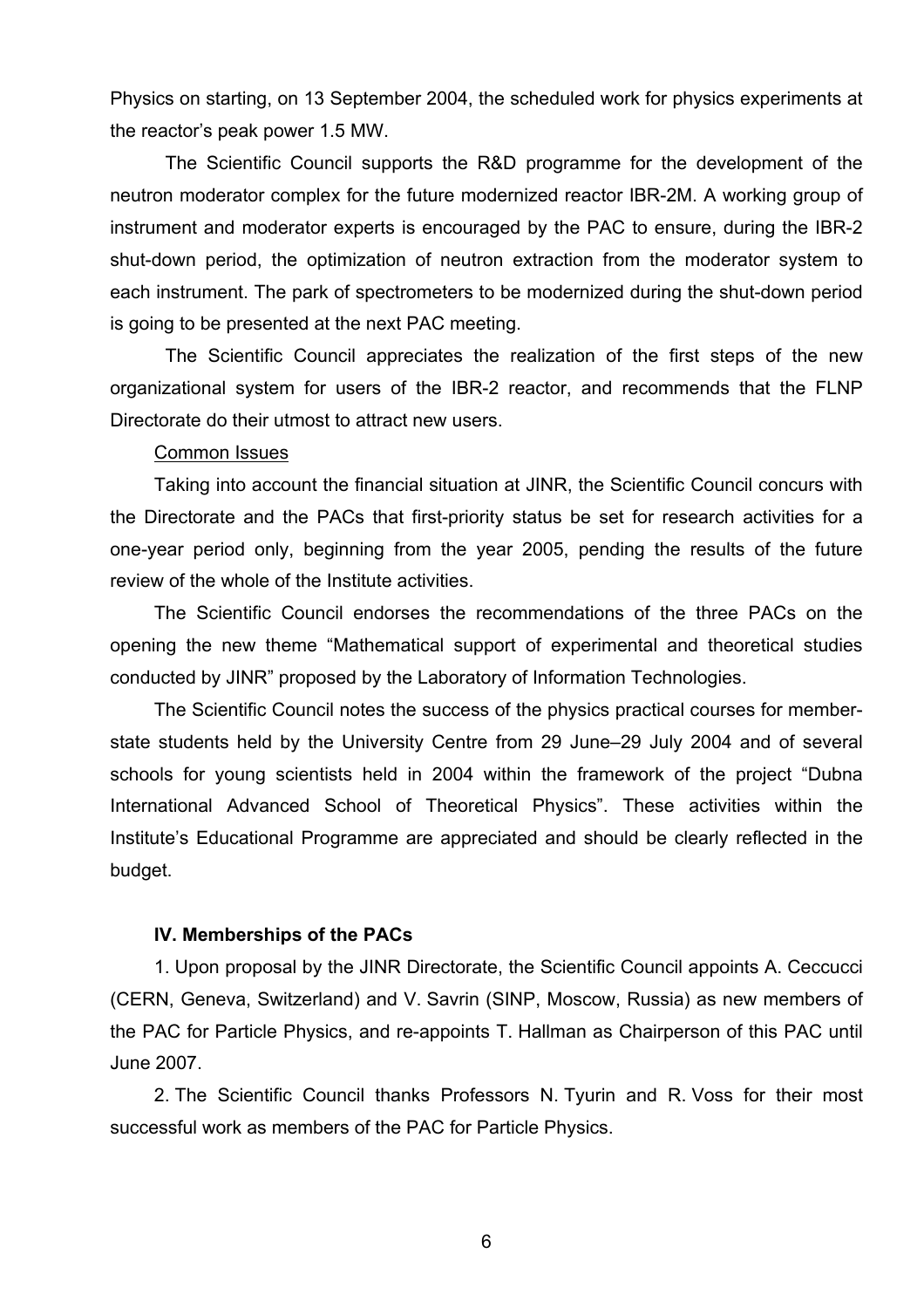Physics on starting, on 13 September 2004, the scheduled work for physics experiments at the reactor's peak power 1.5 MW.

The Scientific Council supports the R&D programme for the development of the neutron moderator complex for the future modernized reactor IBR-2M. A working group of instrument and moderator experts is encouraged by the PAC to ensure, during the IBR-2 shut-down period, the optimization of neutron extraction from the moderator system to each instrument. The park of spectrometers to be modernized during the shut-down period is going to be presented at the next PAC meeting.

The Scientific Council appreciates the realization of the first steps of the new organizational system for users of the IBR-2 reactor, and recommends that the FLNP Directorate do their utmost to attract new users.

## Common Issues

 Taking into account the financial situation at JINR, the Scientific Council concurs with the Directorate and the PACs that first-priority status be set for research activities for a one-year period only, beginning from the year 2005, pending the results of the future review of the whole of the Institute activities.

The Scientific Council endorses the recommendations of the three PACs on the opening the new theme "Mathematical support of experimental and theoretical studies conducted by JINR" proposed by the Laboratory of Information Technologies.

The Scientific Council notes the success of the physics practical courses for memberstate students held by the University Centre from 29 June–29 July 2004 and of several schools for young scientists held in 2004 within the framework of the project "Dubna International Advanced School of Theoretical Physics". These activities within the Institute's Educational Programme are appreciated and should be clearly reflected in the budget.

#### **IV. Memberships of the PACs**

1. Upon proposal by the JINR Directorate, the Scientific Council appoints A. Ceccucci (CERN, Geneva, Switzerland) and V. Savrin (SINP, Moscow, Russia) as new members of the PAC for Particle Physics, and re-appoints T. Hallman as Chairperson of this PAC until June 2007.

2. The Scientific Council thanks Professors N. Tyurin and R. Voss for their most successful work as members of the PAC for Particle Physics.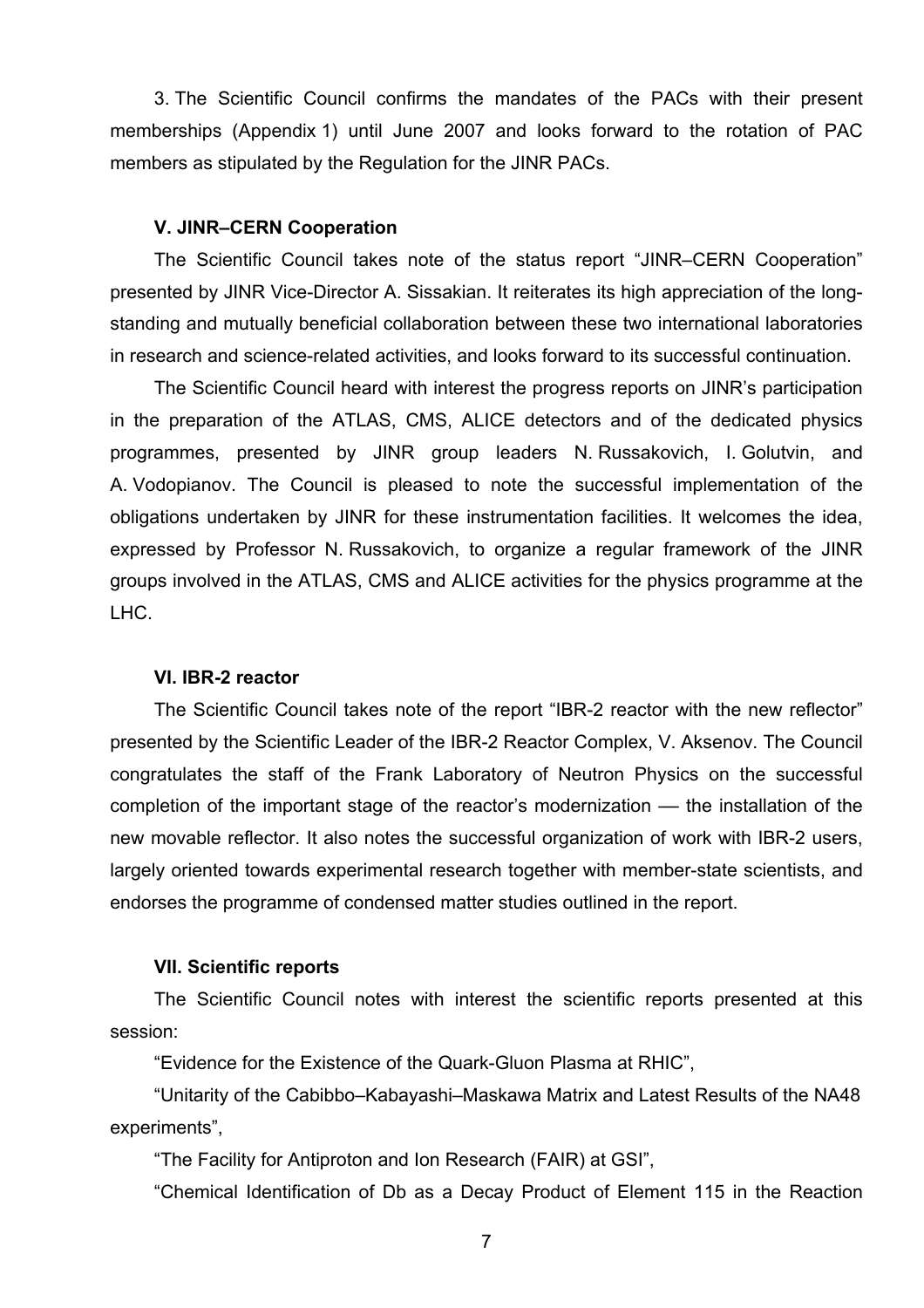3. The Scientific Council confirms the mandates of the PACs with their present memberships (Appendix 1) until June 2007 and looks forward to the rotation of PAC members as stipulated by the Regulation for the JINR PACs.

#### **V. JINR–CERN Cooperation**

The Scientific Council takes note of the status report "JINR–CERN Cooperation" presented by JINR Vice-Director A. Sissakian. It reiterates its high appreciation of the longstanding and mutually beneficial collaboration between these two international laboratories in research and science-related activities, and looks forward to its successful continuation.

The Scientific Council heard with interest the progress reports on JINR's participation in the preparation of the ATLAS, CMS, ALICE detectors and of the dedicated physics programmes, presented by JINR group leaders N. Russakovich, I. Golutvin, and A. Vodopianov. The Council is pleased to note the successful implementation of the obligations undertaken by JINR for these instrumentation facilities. It welcomes the idea, expressed by Professor N. Russakovich, to organize a regular framework of the JINR groups involved in the ATLAS, CMS and ALICE activities for the physics programme at the LHC.

## **VI. IBR-2 reactor**

 The Scientific Council takes note of the report "IBR-2 reactor with the new reflector" presented by the Scientific Leader of the IBR-2 Reactor Complex, V. Aksenov. The Council congratulates the staff of the Frank Laboratory of Neutron Physics on the successful completion of the important stage of the reactor's modernization –– the installation of the new movable reflector. It also notes the successful organization of work with IBR-2 users, largely oriented towards experimental research together with member-state scientists, and endorses the programme of condensed matter studies outlined in the report.

#### **VII. Scientific reports**

The Scientific Council notes with interest the scientific reports presented at this session:

"Evidence for the Existence of the Quark-Gluon Plasma at RHIC",

"Unitarity of the Cabibbo–Kabayashi–Maskawa Matrix and Latest Results of the NA48 experiments",

"The Facility for Antiproton and Ion Research (FAIR) at GSI",

"Chemical Identification of Db as a Decay Product of Element 115 in the Reaction